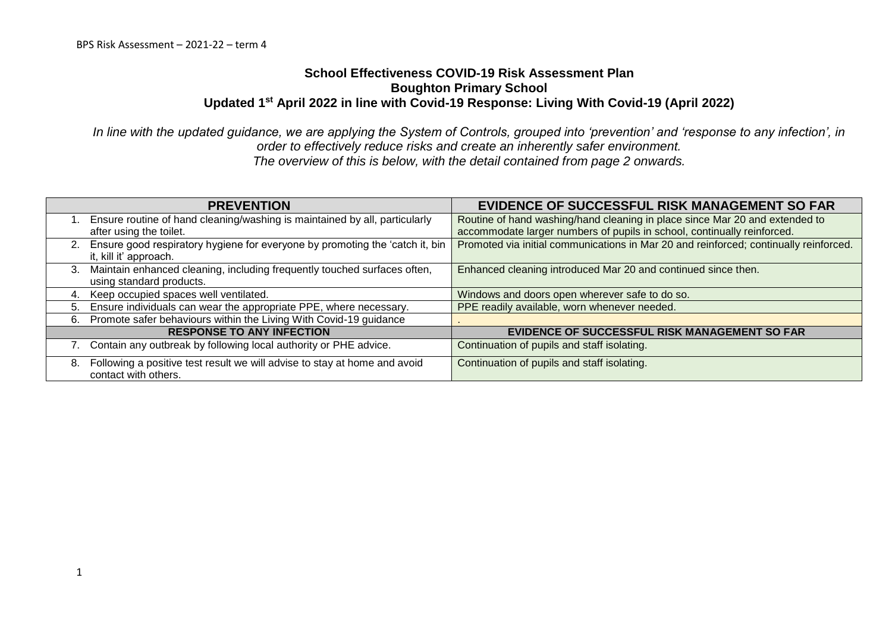## **School Effectiveness COVID-19 Risk Assessment Plan Boughton Primary School Updated 1st April 2022 in line with Covid-19 Response: Living With Covid-19 (April 2022)**

*In line with the updated guidance, we are applying the System of Controls, grouped into 'prevention' and 'response to any infection', in order to effectively reduce risks and create an inherently safer environment. The overview of this is below, with the detail contained from page 2 onwards.*

| <b>PREVENTION</b>                                                                                         | <b>EVIDENCE OF SUCCESSFUL RISK MANAGEMENT SO FAR</b>                                  |
|-----------------------------------------------------------------------------------------------------------|---------------------------------------------------------------------------------------|
| Ensure routine of hand cleaning/washing is maintained by all, particularly                                | Routine of hand washing/hand cleaning in place since Mar 20 and extended to           |
| after using the toilet.                                                                                   | accommodate larger numbers of pupils in school, continually reinforced.               |
| 2. Ensure good respiratory hygiene for everyone by promoting the 'catch it, bin<br>it, kill it' approach. | Promoted via initial communications in Mar 20 and reinforced; continually reinforced. |
| 3. Maintain enhanced cleaning, including frequently touched surfaces often,<br>using standard products.   | Enhanced cleaning introduced Mar 20 and continued since then.                         |
| Keep occupied spaces well ventilated.<br>4.                                                               | Windows and doors open wherever safe to do so.                                        |
| Ensure individuals can wear the appropriate PPE, where necessary.<br>5.                                   | PPE readily available, worn whenever needed.                                          |
| 6. Promote safer behaviours within the Living With Covid-19 guidance                                      |                                                                                       |
| <b>RESPONSE TO ANY INFECTION</b>                                                                          | EVIDENCE OF SUCCESSFUL RISK MANAGEMENT SO FAR                                         |
| 7. Contain any outbreak by following local authority or PHE advice.                                       | Continuation of pupils and staff isolating.                                           |
| Following a positive test result we will advise to stay at home and avoid<br>8.<br>contact with others.   | Continuation of pupils and staff isolating.                                           |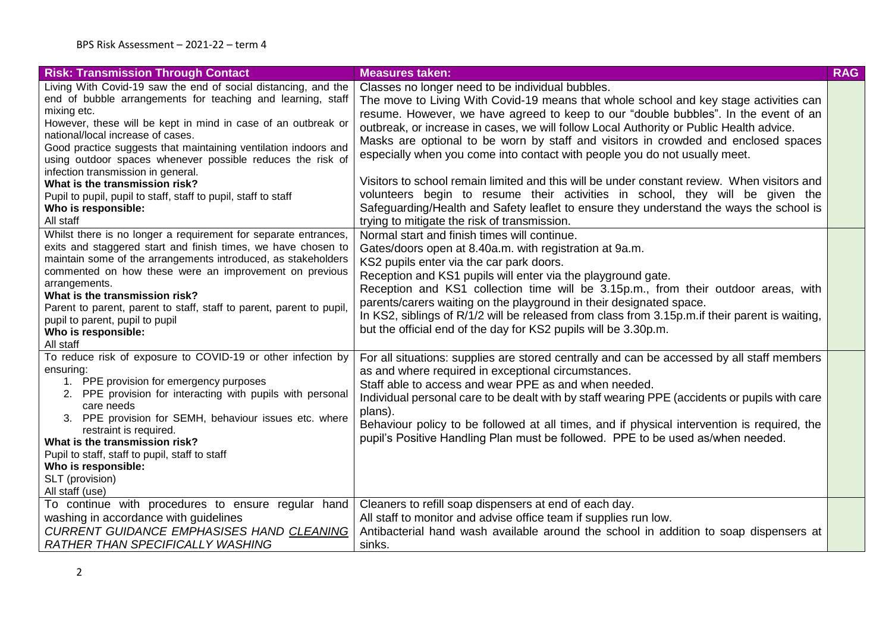| <b>Risk: Transmission Through Contact</b>                                                                                                                                                                                                                                                                                                                                                                                                                                                                                                                         | <b>Measures taken:</b>                                                                                                                                                                                                                                                                                                                                                                                                                                                                                                                                                                                                                                                                                                                                                                                                     | <b>RAG</b> |
|-------------------------------------------------------------------------------------------------------------------------------------------------------------------------------------------------------------------------------------------------------------------------------------------------------------------------------------------------------------------------------------------------------------------------------------------------------------------------------------------------------------------------------------------------------------------|----------------------------------------------------------------------------------------------------------------------------------------------------------------------------------------------------------------------------------------------------------------------------------------------------------------------------------------------------------------------------------------------------------------------------------------------------------------------------------------------------------------------------------------------------------------------------------------------------------------------------------------------------------------------------------------------------------------------------------------------------------------------------------------------------------------------------|------------|
| Living With Covid-19 saw the end of social distancing, and the<br>end of bubble arrangements for teaching and learning, staff<br>mixing etc.<br>However, these will be kept in mind in case of an outbreak or<br>national/local increase of cases.<br>Good practice suggests that maintaining ventilation indoors and<br>using outdoor spaces whenever possible reduces the risk of<br>infection transmission in general.<br>What is the transmission risk?<br>Pupil to pupil, pupil to staff, staff to pupil, staff to staff<br>Who is responsible:<br>All staff | Classes no longer need to be individual bubbles.<br>The move to Living With Covid-19 means that whole school and key stage activities can<br>resume. However, we have agreed to keep to our "double bubbles". In the event of an<br>outbreak, or increase in cases, we will follow Local Authority or Public Health advice.<br>Masks are optional to be worn by staff and visitors in crowded and enclosed spaces<br>especially when you come into contact with people you do not usually meet.<br>Visitors to school remain limited and this will be under constant review. When visitors and<br>volunteers begin to resume their activities in school, they will be given the<br>Safeguarding/Health and Safety leaflet to ensure they understand the ways the school is<br>trying to mitigate the risk of transmission. |            |
| Whilst there is no longer a requirement for separate entrances,<br>exits and staggered start and finish times, we have chosen to<br>maintain some of the arrangements introduced, as stakeholders<br>commented on how these were an improvement on previous<br>arrangements.<br>What is the transmission risk?<br>Parent to parent, parent to staff, staff to parent, parent to pupil,<br>pupil to parent, pupil to pupil<br>Who is responsible:<br>All staff                                                                                                     | Normal start and finish times will continue.<br>Gates/doors open at 8.40a.m. with registration at 9a.m.<br>KS2 pupils enter via the car park doors.<br>Reception and KS1 pupils will enter via the playground gate.<br>Reception and KS1 collection time will be 3.15p.m., from their outdoor areas, with<br>parents/carers waiting on the playground in their designated space.<br>In KS2, siblings of R/1/2 will be released from class from 3.15p.m. if their parent is waiting,<br>but the official end of the day for KS2 pupils will be 3.30p.m.                                                                                                                                                                                                                                                                     |            |
| To reduce risk of exposure to COVID-19 or other infection by<br>ensuring:<br>1. PPE provision for emergency purposes<br>2. PPE provision for interacting with pupils with personal<br>care needs<br>3. PPE provision for SEMH, behaviour issues etc. where<br>restraint is required.<br>What is the transmission risk?<br>Pupil to staff, staff to pupil, staff to staff<br>Who is responsible:<br>SLT (provision)<br>All staff (use)                                                                                                                             | For all situations: supplies are stored centrally and can be accessed by all staff members<br>as and where required in exceptional circumstances.<br>Staff able to access and wear PPE as and when needed.<br>Individual personal care to be dealt with by staff wearing PPE (accidents or pupils with care<br>plans).<br>Behaviour policy to be followed at all times, and if physical intervention is required, the<br>pupil's Positive Handling Plan must be followed. PPE to be used as/when needed.                                                                                                                                                                                                                                                                                                                   |            |
| To continue with procedures to ensure regular hand<br>washing in accordance with guidelines<br>CURRENT GUIDANCE EMPHASISES HAND CLEANING<br><b>RATHER THAN SPECIFICALLY WASHING</b>                                                                                                                                                                                                                                                                                                                                                                               | Cleaners to refill soap dispensers at end of each day.<br>All staff to monitor and advise office team if supplies run low.<br>Antibacterial hand wash available around the school in addition to soap dispensers at<br>sinks.                                                                                                                                                                                                                                                                                                                                                                                                                                                                                                                                                                                              |            |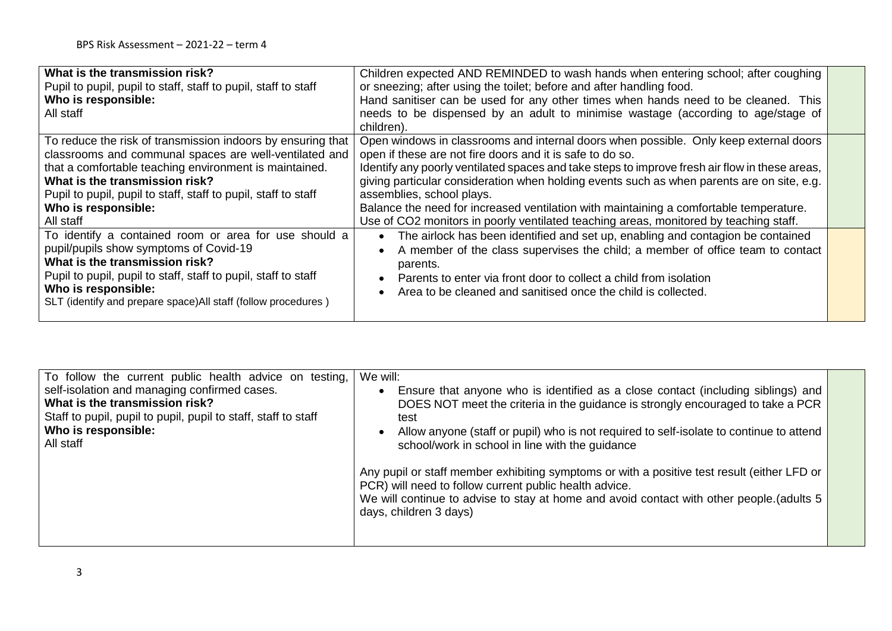| What is the transmission risk?<br>Pupil to pupil, pupil to staff, staff to pupil, staff to staff<br>Who is responsible:<br>All staff                                                                                                                                                                                    | Children expected AND REMINDED to wash hands when entering school; after coughing<br>or sneezing; after using the toilet; before and after handling food.<br>Hand sanitiser can be used for any other times when hands need to be cleaned. This<br>needs to be dispensed by an adult to minimise wastage (according to age/stage of<br>children).                                                                                                                                                                                                                  |  |
|-------------------------------------------------------------------------------------------------------------------------------------------------------------------------------------------------------------------------------------------------------------------------------------------------------------------------|--------------------------------------------------------------------------------------------------------------------------------------------------------------------------------------------------------------------------------------------------------------------------------------------------------------------------------------------------------------------------------------------------------------------------------------------------------------------------------------------------------------------------------------------------------------------|--|
| To reduce the risk of transmission indoors by ensuring that<br>classrooms and communal spaces are well-ventilated and<br>that a comfortable teaching environment is maintained.<br>What is the transmission risk?<br>Pupil to pupil, pupil to staff, staff to pupil, staff to staff<br>Who is responsible:<br>All staff | Open windows in classrooms and internal doors when possible. Only keep external doors<br>open if these are not fire doors and it is safe to do so.<br>Identify any poorly ventilated spaces and take steps to improve fresh air flow in these areas,<br>giving particular consideration when holding events such as when parents are on site, e.g.<br>assemblies, school plays.<br>Balance the need for increased ventilation with maintaining a comfortable temperature.<br>Use of CO2 monitors in poorly ventilated teaching areas, monitored by teaching staff. |  |
| To identify a contained room or area for use should a<br>pupil/pupils show symptoms of Covid-19<br>What is the transmission risk?<br>Pupil to pupil, pupil to staff, staff to pupil, staff to staff<br>Who is responsible:<br>SLT (identify and prepare space) All staff (follow procedures)                            | The airlock has been identified and set up, enabling and contagion be contained<br>A member of the class supervises the child; a member of office team to contact<br>parents.<br>Parents to enter via front door to collect a child from isolation<br>Area to be cleaned and sanitised once the child is collected.                                                                                                                                                                                                                                                |  |

| To follow the current public health advice on testing,<br>self-isolation and managing confirmed cases.<br>What is the transmission risk?<br>Staff to pupil, pupil to pupil, pupil to staff, staff to staff<br>Who is responsible:<br>All staff | We will:<br>Ensure that anyone who is identified as a close contact (including siblings) and<br>DOES NOT meet the criteria in the guidance is strongly encouraged to take a PCR<br>test<br>Allow anyone (staff or pupil) who is not required to self-isolate to continue to attend<br>school/work in school in line with the guidance |  |
|------------------------------------------------------------------------------------------------------------------------------------------------------------------------------------------------------------------------------------------------|---------------------------------------------------------------------------------------------------------------------------------------------------------------------------------------------------------------------------------------------------------------------------------------------------------------------------------------|--|
|                                                                                                                                                                                                                                                | Any pupil or staff member exhibiting symptoms or with a positive test result (either LFD or<br>PCR) will need to follow current public health advice.<br>We will continue to advise to stay at home and avoid contact with other people.(adults 5<br>days, children 3 days)                                                           |  |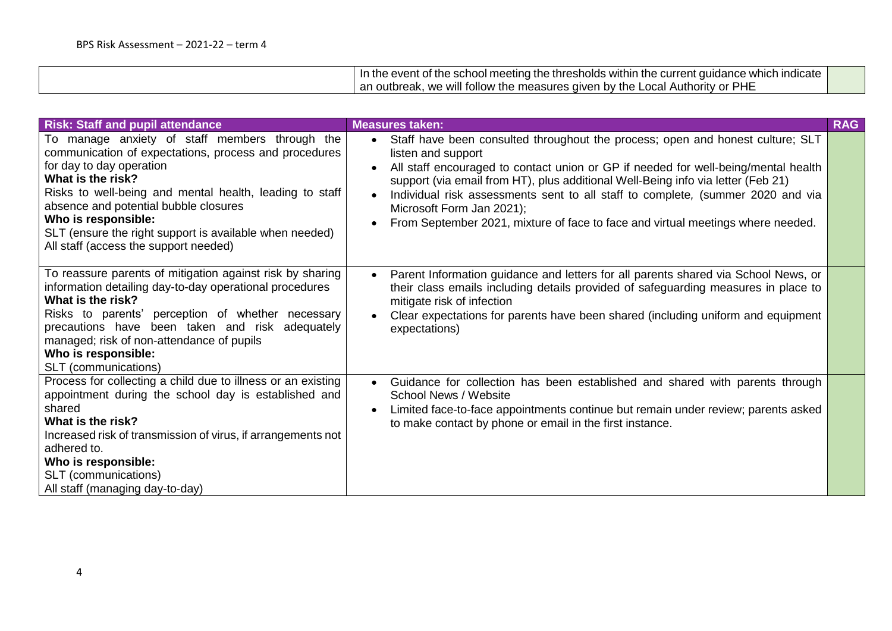| .<br><sup>⊣</sup> icate<br>In<br>within<br>⊥inc<br>even.<br>:urr<br>: whicl<br>snoid<br>-me<br>aanc<br>ne Inresr<br>- Ine<br>eting<br>TΠA<br>met<br>.<br>O<br>اند<br>,,,,,       |  |
|----------------------------------------------------------------------------------------------------------------------------------------------------------------------------------|--|
| <b>PHE</b><br>∍uthority<br>$\sim$<br>⊺tollow<br>nr.<br>outbreak.<br>้ + คัก<br>will<br>sures<br>hv<br><br>$\sim$<br>11/2r<br>$\mathbf{v}$<br>-the<br>mea.<br>aı<br>.<br>ີ<br>. . |  |

| <b>Risk: Staff and pupil attendance</b>                                                                                                                                                                                                                                                                                                                                                 | <b>Measures taken:</b>                                                                                                                                                                                                                                                                                                                                                                                                                                                                                      | <b>RAG</b> |
|-----------------------------------------------------------------------------------------------------------------------------------------------------------------------------------------------------------------------------------------------------------------------------------------------------------------------------------------------------------------------------------------|-------------------------------------------------------------------------------------------------------------------------------------------------------------------------------------------------------------------------------------------------------------------------------------------------------------------------------------------------------------------------------------------------------------------------------------------------------------------------------------------------------------|------------|
| To manage anxiety of staff members through the<br>communication of expectations, process and procedures<br>for day to day operation<br>What is the risk?<br>Risks to well-being and mental health, leading to staff<br>absence and potential bubble closures<br>Who is responsible:<br>SLT (ensure the right support is available when needed)<br>All staff (access the support needed) | Staff have been consulted throughout the process; open and honest culture; SLT<br>$\bullet$<br>listen and support<br>All staff encouraged to contact union or GP if needed for well-being/mental health<br>$\bullet$<br>support (via email from HT), plus additional Well-Being info via letter (Feb 21)<br>Individual risk assessments sent to all staff to complete, (summer 2020 and via<br>Microsoft Form Jan 2021);<br>From September 2021, mixture of face to face and virtual meetings where needed. |            |
| To reassure parents of mitigation against risk by sharing<br>information detailing day-to-day operational procedures<br>What is the risk?<br>Risks to parents' perception of whether necessary<br>precautions have been taken and risk adequately<br>managed; risk of non-attendance of pupils<br>Who is responsible:<br>SLT (communications)                                           | Parent Information guidance and letters for all parents shared via School News, or<br>$\bullet$<br>their class emails including details provided of safeguarding measures in place to<br>mitigate risk of infection<br>Clear expectations for parents have been shared (including uniform and equipment<br>$\bullet$<br>expectations)                                                                                                                                                                       |            |
| Process for collecting a child due to illness or an existing<br>appointment during the school day is established and<br>shared<br>What is the risk?<br>Increased risk of transmission of virus, if arrangements not<br>adhered to.<br>Who is responsible:<br>SLT (communications)<br>All staff (managing day-to-day)                                                                    | Guidance for collection has been established and shared with parents through<br>$\bullet$<br>School News / Website<br>Limited face-to-face appointments continue but remain under review; parents asked<br>$\bullet$<br>to make contact by phone or email in the first instance.                                                                                                                                                                                                                            |            |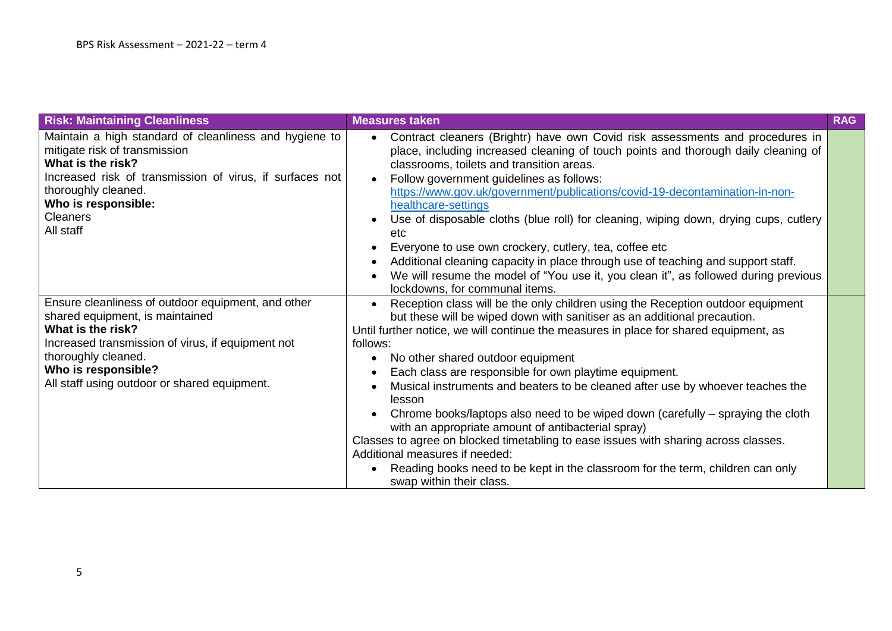| <b>Risk: Maintaining Cleanliness</b>                                                                                                                                                                                                                          | <b>Measures taken</b>                                                                                                                                                                                                                                                                                                                                                                                                                                                                                                                                                                                                                                                                                                                                                                                                                                    | <b>RAG</b> |
|---------------------------------------------------------------------------------------------------------------------------------------------------------------------------------------------------------------------------------------------------------------|----------------------------------------------------------------------------------------------------------------------------------------------------------------------------------------------------------------------------------------------------------------------------------------------------------------------------------------------------------------------------------------------------------------------------------------------------------------------------------------------------------------------------------------------------------------------------------------------------------------------------------------------------------------------------------------------------------------------------------------------------------------------------------------------------------------------------------------------------------|------------|
| Maintain a high standard of cleanliness and hygiene to<br>mitigate risk of transmission<br>What is the risk?<br>Increased risk of transmission of virus, if surfaces not<br>thoroughly cleaned.<br>Who is responsible:<br><b>Cleaners</b><br>All staff        | Contract cleaners (Brightr) have own Covid risk assessments and procedures in<br>$\bullet$<br>place, including increased cleaning of touch points and thorough daily cleaning of<br>classrooms, toilets and transition areas.<br>Follow government guidelines as follows:<br>$\bullet$<br>https://www.gov.uk/government/publications/covid-19-decontamination-in-non-<br>healthcare-settings<br>Use of disposable cloths (blue roll) for cleaning, wiping down, drying cups, cutlery<br>etc<br>Everyone to use own crockery, cutlery, tea, coffee etc                                                                                                                                                                                                                                                                                                    |            |
|                                                                                                                                                                                                                                                               | Additional cleaning capacity in place through use of teaching and support staff.<br>$\bullet$<br>We will resume the model of "You use it, you clean it", as followed during previous<br>lockdowns, for communal items.                                                                                                                                                                                                                                                                                                                                                                                                                                                                                                                                                                                                                                   |            |
| Ensure cleanliness of outdoor equipment, and other<br>shared equipment, is maintained<br>What is the risk?<br>Increased transmission of virus, if equipment not<br>thoroughly cleaned.<br>Who is responsible?<br>All staff using outdoor or shared equipment. | Reception class will be the only children using the Reception outdoor equipment<br>but these will be wiped down with sanitiser as an additional precaution.<br>Until further notice, we will continue the measures in place for shared equipment, as<br>follows:<br>No other shared outdoor equipment<br>$\bullet$<br>Each class are responsible for own playtime equipment.<br>Musical instruments and beaters to be cleaned after use by whoever teaches the<br>lesson<br>Chrome books/laptops also need to be wiped down (carefully – spraying the cloth<br>with an appropriate amount of antibacterial spray)<br>Classes to agree on blocked timetabling to ease issues with sharing across classes.<br>Additional measures if needed:<br>Reading books need to be kept in the classroom for the term, children can only<br>swap within their class. |            |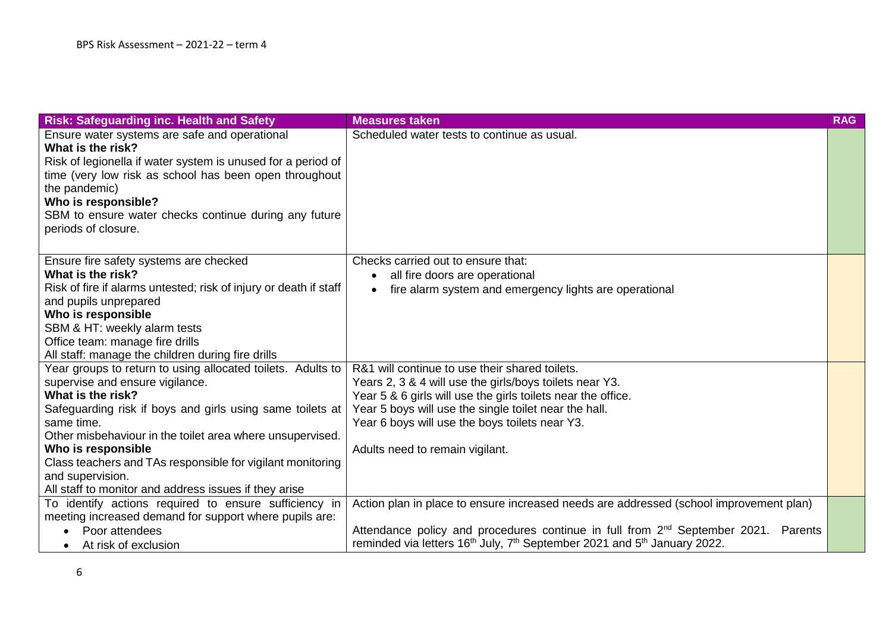| <b>Risk: Safeguarding inc. Health and Safety</b>                  | <b>Measures taken</b>                                                                                        | <b>RAG</b> |
|-------------------------------------------------------------------|--------------------------------------------------------------------------------------------------------------|------------|
| Ensure water systems are safe and operational                     | Scheduled water tests to continue as usual.                                                                  |            |
| What is the risk?                                                 |                                                                                                              |            |
| Risk of legionella if water system is unused for a period of      |                                                                                                              |            |
| time (very low risk as school has been open throughout            |                                                                                                              |            |
| the pandemic)                                                     |                                                                                                              |            |
| Who is responsible?                                               |                                                                                                              |            |
| SBM to ensure water checks continue during any future             |                                                                                                              |            |
| periods of closure.                                               |                                                                                                              |            |
|                                                                   |                                                                                                              |            |
| Ensure fire safety systems are checked                            | Checks carried out to ensure that:                                                                           |            |
| What is the risk?                                                 | all fire doors are operational                                                                               |            |
| Risk of fire if alarms untested; risk of injury or death if staff | fire alarm system and emergency lights are operational                                                       |            |
| and pupils unprepared                                             |                                                                                                              |            |
| Who is responsible                                                |                                                                                                              |            |
| SBM & HT: weekly alarm tests                                      |                                                                                                              |            |
| Office team: manage fire drills                                   |                                                                                                              |            |
| All staff: manage the children during fire drills                 |                                                                                                              |            |
| Year groups to return to using allocated toilets. Adults to       | R&1 will continue to use their shared toilets.                                                               |            |
| supervise and ensure vigilance.                                   | Years 2, 3 & 4 will use the girls/boys toilets near Y3.                                                      |            |
| What is the risk?                                                 | Year 5 & 6 girls will use the girls toilets near the office.                                                 |            |
| Safeguarding risk if boys and girls using same toilets at         | Year 5 boys will use the single toilet near the hall.                                                        |            |
| same time.                                                        | Year 6 boys will use the boys toilets near Y3.                                                               |            |
| Other misbehaviour in the toilet area where unsupervised.         |                                                                                                              |            |
| Who is responsible                                                | Adults need to remain vigilant.                                                                              |            |
| Class teachers and TAs responsible for vigilant monitoring        |                                                                                                              |            |
| and supervision.                                                  |                                                                                                              |            |
| All staff to monitor and address issues if they arise             |                                                                                                              |            |
| To identify actions required to ensure sufficiency in             | Action plan in place to ensure increased needs are addressed (school improvement plan)                       |            |
| meeting increased demand for support where pupils are:            |                                                                                                              |            |
| Poor attendees                                                    | Attendance policy and procedures continue in full from 2 <sup>nd</sup> September 2021. Parents               |            |
| At risk of exclusion                                              | reminded via letters 16 <sup>th</sup> July, 7 <sup>th</sup> September 2021 and 5 <sup>th</sup> January 2022. |            |